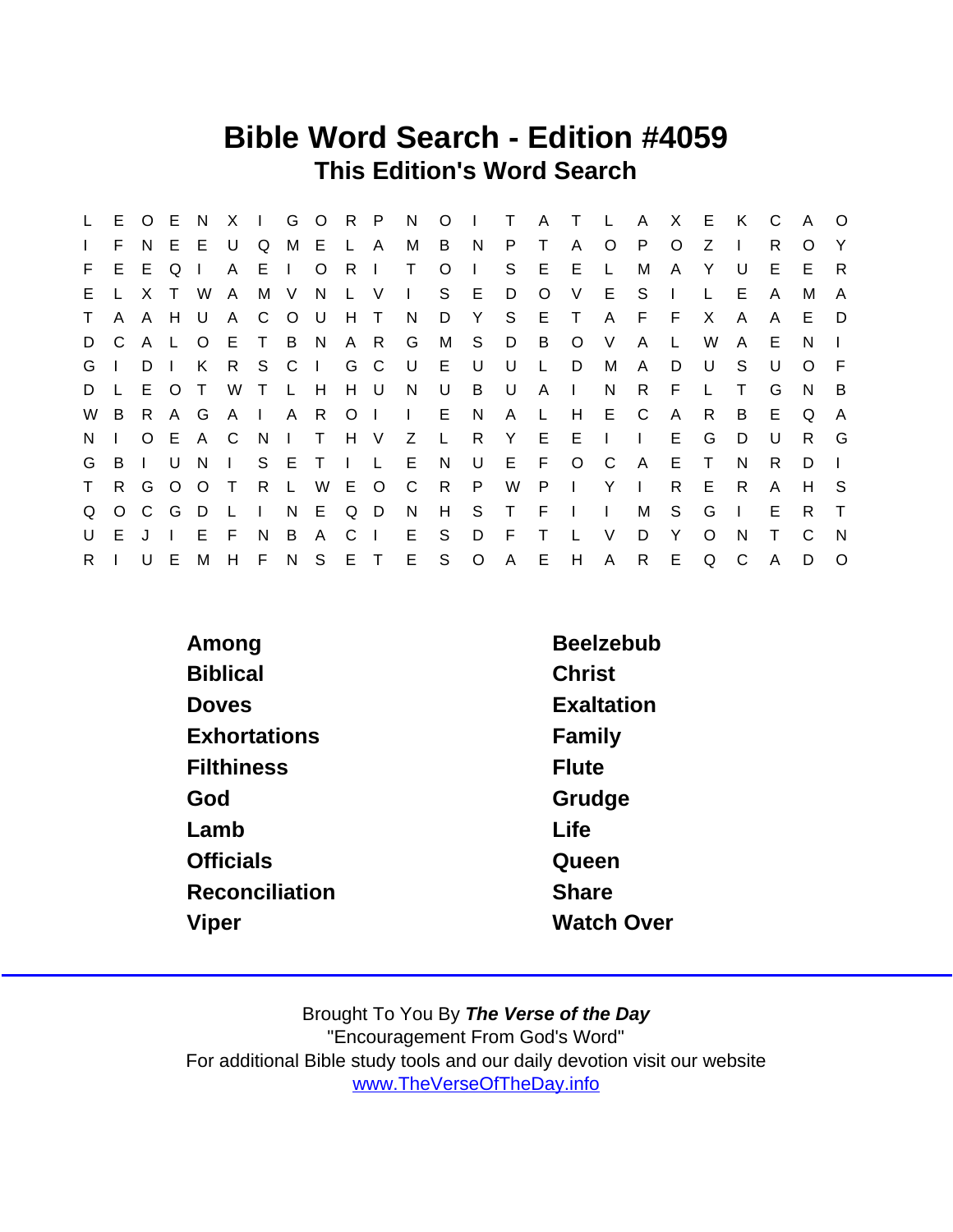## Bible Word Search - Edition #4059 This Edition's Word Search

| L.           |    | E O E        |     | - N          | X —          |              |              | I G O R P |                  |              | N            | $O \mid$        |                | $\top$ | A T          |              | $\mathbb{L}$   | A X E        |              |        | K            | C. | $\mathsf{A}$ | $\circ$        |
|--------------|----|--------------|-----|--------------|--------------|--------------|--------------|-----------|------------------|--------------|--------------|-----------------|----------------|--------|--------------|--------------|----------------|--------------|--------------|--------|--------------|----|--------------|----------------|
| $\mathbf{L}$ | F. | N.           | E.  | -E           | U            | Q            |              | M E L A   |                  |              | М            | B               | N <sub>N</sub> | P.     | $\top$       | A            | $\circ$        | - P          | $\circ$      | Z      | $\mathbf{I}$ | R  | O            | Y              |
| F.           | E. | E            | Q   |              | A            | EI.          |              | $\circ$   | R                | $\mathbf{I}$ | $\top$       | $\circ$         | $\mathbf{I}$   | S      | E            | E            | $\mathsf{L}$   | M            | A            | Y      | U            | Е  | E.           | R.             |
| E.           |    | X            |     | W            | $\mathsf{A}$ |              | M V          | N.        |                  | L V          | $\mathbf{L}$ |                 | S E            | D      | $\circ$      | V            | E              | S.           | $\mathbf{I}$ |        | E.           | A  | M            | A              |
| $\mathsf T$  |    | A A H        |     | U            | A            | C            | O U          |           | H T              |              | N,           | D               | Y              | S      |              | E T          | $\mathsf{A}$   | F F          |              | X      | $\mathsf{A}$ | A  | E.           | - D            |
| D            | C. | A L          |     | $\circ$      | E T B N      |              |              |           | A R              |              | G            | M S             |                | D B    |              | $\circ$      | V              | A            |              | W      | A            | Е  | N.           |                |
| G            |    | $D \mid$     |     | K            | R.           |              | S C I        |           |                  | G C          | U            | E U             |                | U      | L.           | D            | M              | $\mathsf{A}$ | D            | U      | S.           | U  | $\Omega$     | - F            |
| D            |    | L E O        |     | $\top$       | W            | T L H        |              |           |                  | H U          | N.           | U               | B              | U      | $\mathsf{A}$ | $\Box$       | N              | R.           | F            |        | T            | G  | N.           | $\overline{B}$ |
| W            | B  |              | R A | G            |              | $A \mid$     | A R          |           | $\overline{O}$ 1 |              | $\mathbf{1}$ | E N             |                | A L    |              | H            | E C            |              | A            | R.     | B            | Е  | Q            | A              |
| N.           |    |              |     | O E A C      |              | - N          | $\mathbf{1}$ | $\top$    | H V              |              | Z            | $\mathsf{L}$    | R.             | Y E    |              | - E          | $\sim 1$ .     | $\mathbf{I}$ | E            | G      | D            | U  | R.           | G              |
| G            | B  | $\mathbf{I}$ | U   | <sup>N</sup> | $\mathbf{I}$ |              |              | SETIL     |                  |              | E            | N               | U              |        | E F          |              | $O$ $C$        | A            | E            | $\top$ | N            | R. | D            |                |
| $\mathsf{T}$ |    | R G O        |     | O T          |              | R.           | $\mathsf{L}$ |           | W E O            |              | $\mathbf{C}$ | $R_{\parallel}$ | P              | W      | $\mathsf{P}$ | $\Box$       | Y <sub>l</sub> |              | R.           | E.     | R.           | A  | H            | - S            |
| Q            |    | O C G        |     | D.           | $\mathsf{L}$ | $\mathbf{L}$ |              | N E Q D   |                  |              | N            | H               |                | S T F  |              | $\Box$       | $\mathbf{I}$   | M            | S            | G      | $\mathbf{I}$ | Е  | R.           | $\top$         |
| U            | E. | J.           |     | E.           | E            | N            | B            | A         | C                | - 1          | E.           | S.              | D              | F.     | $\mathsf{T}$ | $\mathsf{L}$ | V              | D            | Y            | O      | N            |    | C            | - N            |
| R.           |    | $U$ E        |     | M            | H            |              |              | FNSET     |                  |              | E –          | $S$ O           |                | A E    |              | H            | $\mathsf{A}$   | $\mathsf{R}$ | E            | Q      | C            | A  | D            | $\Omega$       |

| Among               | <b>Beelzebub</b>  |
|---------------------|-------------------|
| <b>Biblical</b>     | <b>Christ</b>     |
| <b>Doves</b>        | Exaltation        |
| <b>Exhortations</b> | Family            |
| <b>Filthiness</b>   | Flute             |
| God                 | Grudge            |
| Lamb                | Life              |
| <b>Officials</b>    | Queen             |
| Reconciliation      | <b>Share</b>      |
| Viper               | <b>Watch Over</b> |
|                     |                   |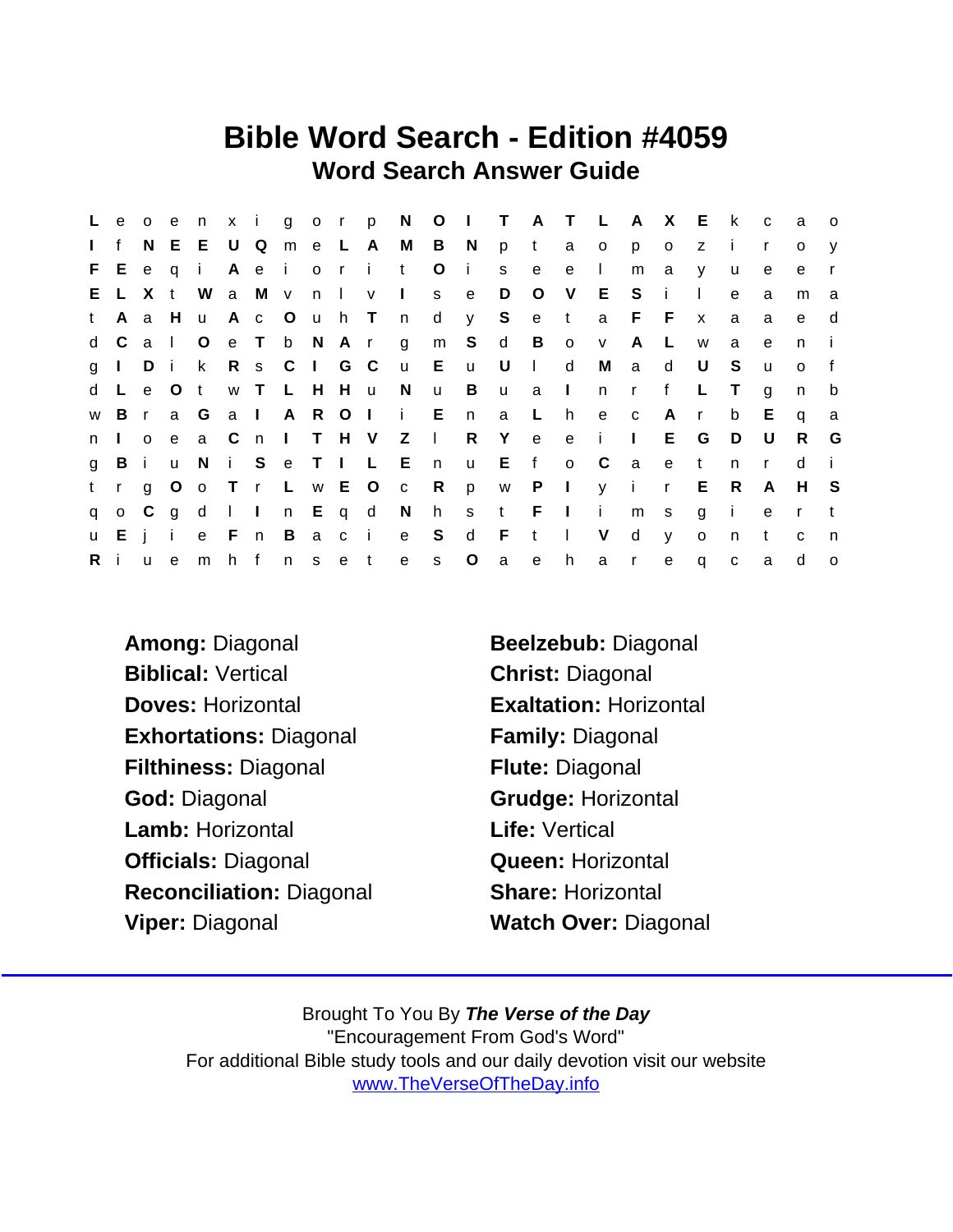## Bible Word Search - Edition #4059 Word Search Answer Guide

|              |              |   |              |               |     |     |                |  |                       |                       |         |                |              |            |        | Leoenxigorp NOIT ATLAXE k |                |              |              |              | $\overline{C}$ | - a          | $\overline{O}$ |
|--------------|--------------|---|--------------|---------------|-----|-----|----------------|--|-----------------------|-----------------------|---------|----------------|--------------|------------|--------|---------------------------|----------------|--------------|--------------|--------------|----------------|--------------|----------------|
| $\mathbf{I}$ | f            |   |              | N E E U Q     |     |     |                |  |                       | m e L A M B N         |         |                | p            | $-t$       |        | a o                       | p              | $\circ$      | z            | $\mathbf{I}$ | $\mathsf{r}$   | $\circ$      | $\mathsf{V}$   |
|              |              |   |              | FEeqi         |     | Aei |                |  | orit                  |                       | $\circ$ | $\mathbf{i}$   | S            | e          | e      | $\sim 1$ .                | m              | $\mathbf{a}$ | <b>V</b>     | <b>u</b>     | e              | e            |                |
|              |              |   |              | E L X t W     |     |     | a M v n I v    |  |                       | $\sim 1$ .            |         | s e            | D            | $\circ$    |        | V E S                     |                | - i -        | $\Box$       | e            | a              | m            | a              |
| t            | $\mathsf{A}$ | a | H.           | $\mathsf{u}$  |     |     |                |  | A c O u h T n         |                       |         |                | d y S e t a  |            |        |                           |                | $F$ $F$      | $\mathsf{x}$ | a            | a              | e            | d              |
|              | d C          |   | a IO         |               |     |     | e T b N A r    |  |                       | g m S d B o v         |         |                |              |            |        |                           | $\mathsf{A}$   | L            | W            | a            | e              | n            |                |
|              | $g \mid$     | D | $\mathbf{i}$ | k R s C I G C |     |     |                |  |                       | u E                   |         | <b>u</b>       | U            | $\sim 1$ . | d      | M                         | a              | d            | U            | S.           | u              | $\Omega$     |                |
|              |              |   |              | d L e O t     |     |     | W T L H H u    |  |                       | N u                   |         | $\overline{B}$ |              | u a I      |        | n n                       | $\mathsf{r}$   | f            | L.           | T.           | g              | n            | b              |
|              | w B r        |   |              | a G           | a I |     |                |  |                       | A R O I i E           |         | n              | a            | - L        | h      | e c                       |                | A            | $\mathsf{r}$ | b            | E.             | q            | a              |
|              | n I o        |   |              |               |     |     |                |  |                       | e a C n I T H V Z I   |         | R              | Y            | e          |        | e i l                     |                |              | E G          | D.           | - U            | R.           | G              |
| $\mathbf{g}$ | Bi           |   |              |               |     |     |                |  |                       | u N i S e T I L E n   |         |                | u E f        |            |        | $\circ$ C                 | $\overline{a}$ | e            | $-t$         | n            | $\mathbf{r}$   | d            |                |
|              | $t$ r        |   |              |               |     |     |                |  |                       | g O o T r L w E O c R |         | p              |              |            |        | w P I y i                 |                | $\mathsf{r}$ | E R          |              | A              | H S          |                |
| q            |              |   |              |               |     |     |                |  | o C g d I I n E q d N |                       |         |                | h s t F I i  |            |        |                           | m <sub>s</sub> |              | g i          |              | e              | $\mathsf{r}$ |                |
|              | u E i i      |   |              | e F n         |     |     | $\overline{B}$ |  |                       | acie S                |         | d F            |              | $-t$       | $\Box$ | V                         | d              | V            | $\mathbf{o}$ | n            | t              | $\mathbf{C}$ | n              |
| $R$ i        |              |   | u e          | m h f         |     |     | n s e t        |  |                       | e                     | S       | $\circ$        | $\mathsf{a}$ | e          | h      | a a                       | $\mathsf{r}$   | e            | $\mathsf{q}$ | $\mathbf{C}$ | a              | d            | $\circ$        |

Biblical: Vertical Christ: Diagonal Doves: Horizontal **Exaltation: Horizontal** Exhortations: Diagonal Family: Diagonal Filthiness: Diagonal Flute: Diagonal God: Diagonal Grudge: Horizontal Lamb: Horizontal Life: Vertical Officials: Diagonal Queen: Horizontal Reconciliation: Diagonal Share: Horizontal Viper: Diagonal Watch Over: Diagonal

Among: Diagonal Beelzebub: Diagonal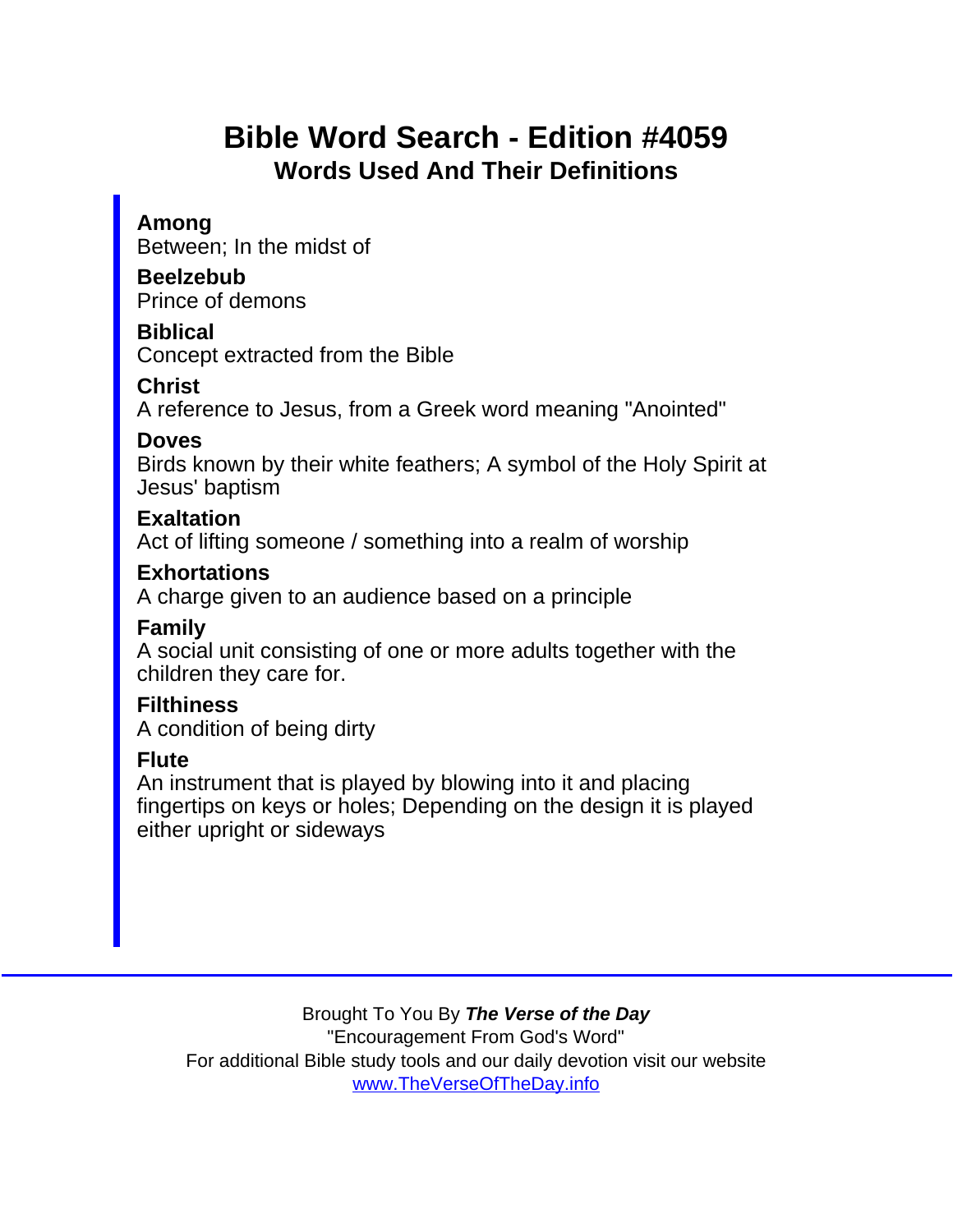# Bible Word Search - Edition #4059 Words Used And Their Definitions

Among

Between; In the midst of

Beelzebub

Prince of demons

Biblical

Concept extracted from the Bible

**Christ** 

A reference to Jesus, from a Greek word meaning "Anointed"

Doves

Birds known by their white feathers; A symbol of the Holy Spirit at Jesus' baptism

**Exaltation** 

Act of lifting someone / something into a realm of worship

**Exhortations** 

A charge given to an audience based on a principle

Family

A social unit consisting of one or more adults together with the children they care for.

**Filthiness** 

A condition of being dirty

Flute

An instrument that is played by blowing into it and placing fingertips on keys or holes; Depending on the design it is played either upright or sideways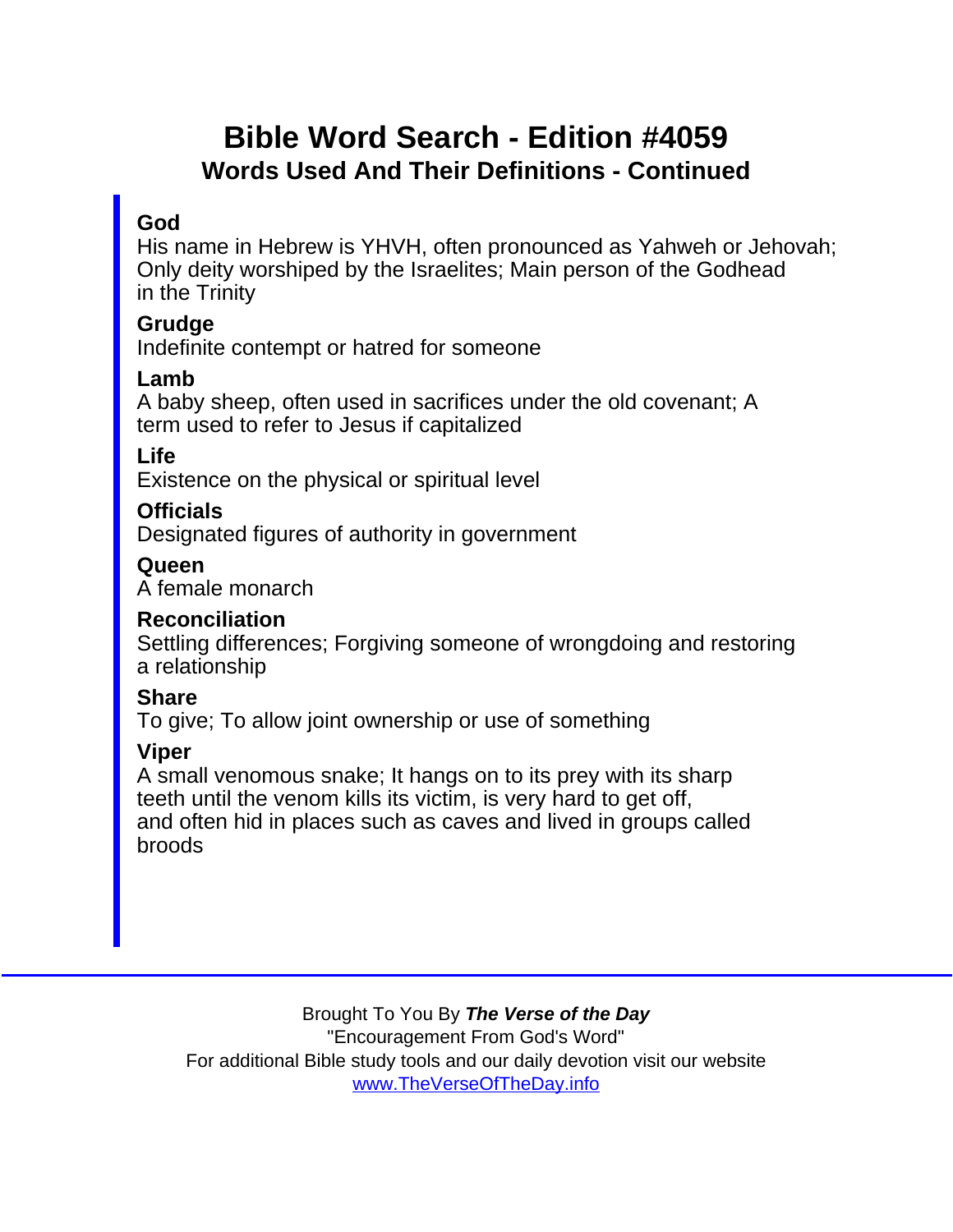## Bible Word Search - Edition #4059 Words Used And Their Definitions - Continued

#### God

His name in Hebrew is YHVH, often pronounced as Yahweh or Jehovah; Only deity worshiped by the Israelites; Main person of the Godhead in the Trinity

**Grudge** 

Indefinite contempt or hatred for someone

Lamb

A baby sheep, often used in sacrifices under the old covenant; A term used to refer to Jesus if capitalized

Life

Existence on the physical or spiritual level

**Officials** 

Designated figures of authority in government

**Queen** 

A female monarch

Reconciliation

Settling differences; Forgiving someone of wrongdoing and restoring a relationship

**Share** 

To give; To allow joint ownership or use of something

Viper

A small venomous snake; It hangs on to its prey with its sharp teeth until the venom kills its victim, is very hard to get off, and often hid in places such as caves and lived in groups called broods